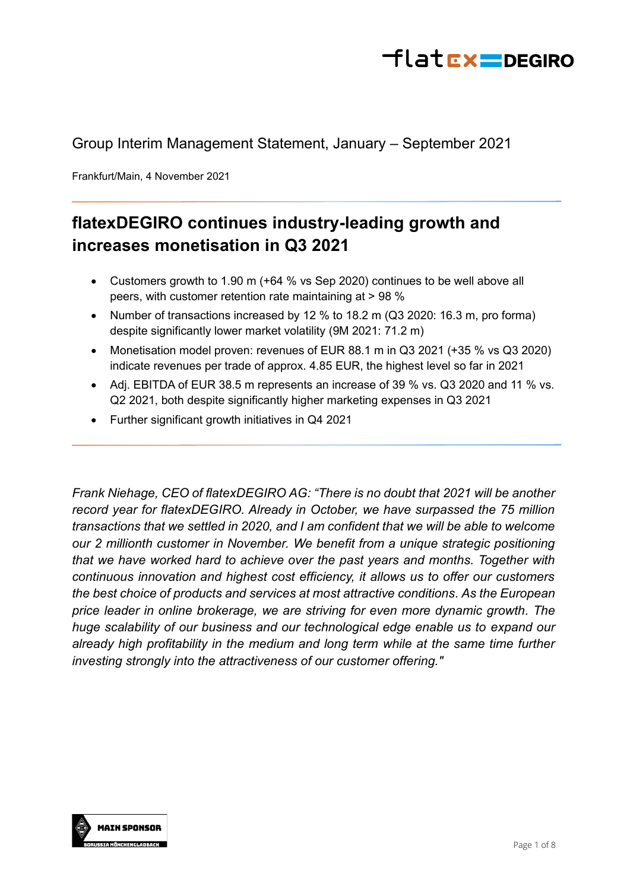

# Group Interim Management Statement, January – September 2021

Frankfurt/Main, 4 November 2021

# **flatexDEGIRO continues industry-leading growth and increases monetisation in Q3 2021**

- Customers growth to 1.90 m (+64 % vs Sep 2020) continues to be well above all peers, with customer retention rate maintaining at > 98 %
- Number of transactions increased by 12 % to 18.2 m (Q3 2020: 16.3 m, pro forma) despite significantly lower market volatility (9M 2021: 71.2 m)
- Monetisation model proven: revenues of EUR 88.1 m in Q3 2021 (+35 % vs Q3 2020) indicate revenues per trade of approx. 4.85 EUR, the highest level so far in 2021
- Adj. EBITDA of EUR 38.5 m represents an increase of 39 % vs. Q3 2020 and 11 % vs. Q2 2021, both despite significantly higher marketing expenses in Q3 2021
- Further significant growth initiatives in Q4 2021

*Frank Niehage, CEO of flatexDEGIRO AG: "There is no doubt that 2021 will be another record year for flatexDEGIRO. Already in October, we have surpassed the 75 million transactions that we settled in 2020, and I am confident that we will be able to welcome our 2 millionth customer in November. We benefit from a unique strategic positioning that we have worked hard to achieve over the past years and months. Together with continuous innovation and highest cost efficiency, it allows us to offer our customers the best choice of products and services at most attractive conditions. As the European price leader in online brokerage, we are striving for even more dynamic growth. The huge scalability of our business and our technological edge enable us to expand our already high profitability in the medium and long term while at the same time further investing strongly into the attractiveness of our customer offering."*

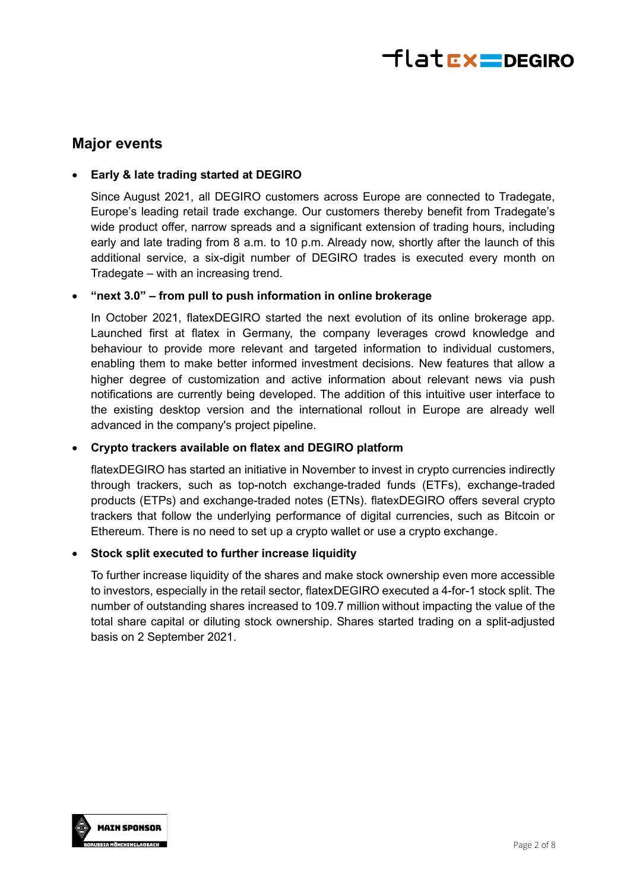

### **Major events**

### • **Early & late trading started at DEGIRO**

Since August 2021, all DEGIRO customers across Europe are connected to Tradegate, Europe's leading retail trade exchange. Our customers thereby benefit from Tradegate's wide product offer, narrow spreads and a significant extension of trading hours, including early and late trading from 8 a.m. to 10 p.m. Already now, shortly after the launch of this additional service, a six-digit number of DEGIRO trades is executed every month on Tradegate – with an increasing trend.

### • **"next 3.0" – from pull to push information in online brokerage**

In October 2021, flatexDEGIRO started the next evolution of its online brokerage app. Launched first at flatex in Germany, the company leverages crowd knowledge and behaviour to provide more relevant and targeted information to individual customers, enabling them to make better informed investment decisions. New features that allow a higher degree of customization and active information about relevant news via push notifications are currently being developed. The addition of this intuitive user interface to the existing desktop version and the international rollout in Europe are already well advanced in the company's project pipeline.

### • **Crypto trackers available on flatex and DEGIRO platform**

flatexDEGIRO has started an initiative in November to invest in crypto currencies indirectly through trackers, such as top-notch exchange-traded funds (ETFs), exchange-traded products (ETPs) and exchange-traded notes (ETNs). flatexDEGIRO offers several crypto trackers that follow the underlying performance of digital currencies, such as Bitcoin or Ethereum. There is no need to set up a crypto wallet or use a crypto exchange.

### • **Stock split executed to further increase liquidity**

To further increase liquidity of the shares and make stock ownership even more accessible to investors, especially in the retail sector, flatexDEGIRO executed a 4-for-1 stock split. The number of outstanding shares increased to 109.7 million without impacting the value of the total share capital or diluting stock ownership. Shares started trading on a split-adjusted basis on 2 September 2021.

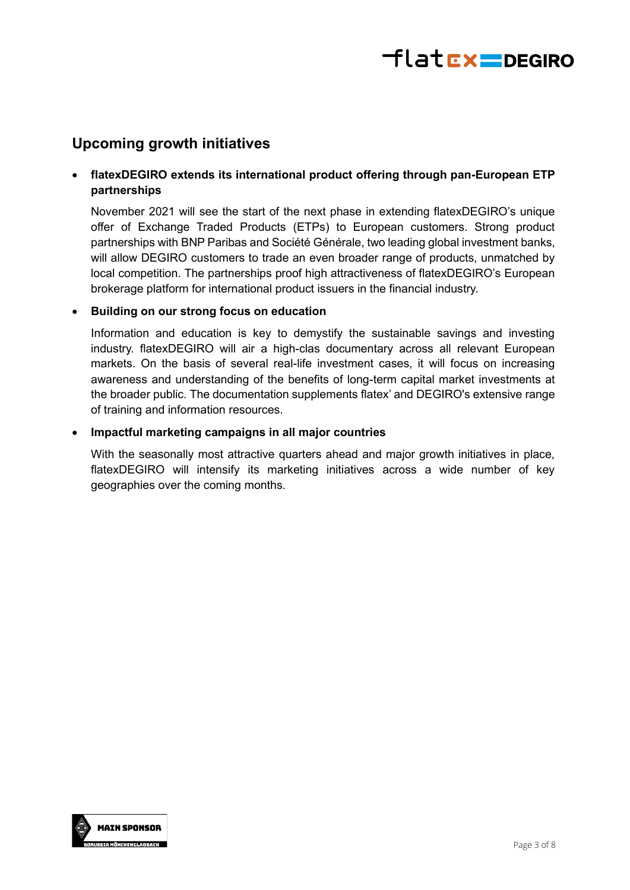

## **Upcoming growth initiatives**

### • **flatexDEGIRO extends its international product offering through pan-European ETP partnerships**

November 2021 will see the start of the next phase in extending flatexDEGIRO's unique offer of Exchange Traded Products (ETPs) to European customers. Strong product partnerships with BNP Paribas and Société Générale, two leading global investment banks, will allow DEGIRO customers to trade an even broader range of products, unmatched by local competition. The partnerships proof high attractiveness of flatexDEGIRO's European brokerage platform for international product issuers in the financial industry.

### • **Building on our strong focus on education**

Information and education is key to demystify the sustainable savings and investing industry. flatexDEGIRO will air a high-clas documentary across all relevant European markets. On the basis of several real-life investment cases, it will focus on increasing awareness and understanding of the benefits of long-term capital market investments at the broader public. The documentation supplements flatex' and DEGIRO's extensive range of training and information resources.

### • **Impactful marketing campaigns in all major countries**

With the seasonally most attractive quarters ahead and major growth initiatives in place, flatexDEGIRO will intensify its marketing initiatives across a wide number of key geographies over the coming months.

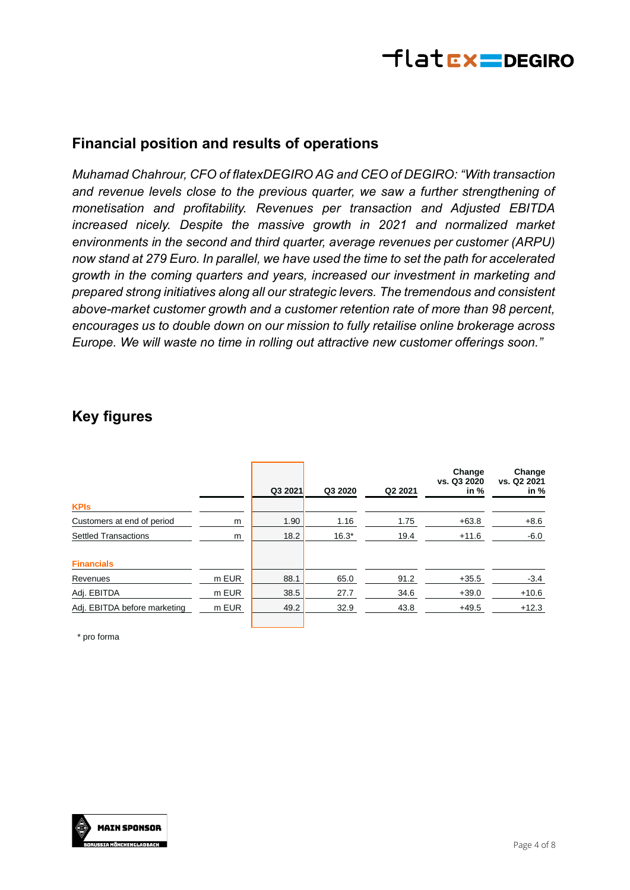

# **Financial position and results of operations**

*Muhamad Chahrour, CFO of flatexDEGIRO AG and CEO of DEGIRO: "With transaction and revenue levels close to the previous quarter, we saw a further strengthening of monetisation and profitability. Revenues per transaction and Adjusted EBITDA increased nicely. Despite the massive growth in 2021 and normalized market environments in the second and third quarter, average revenues per customer (ARPU) now stand at 279 Euro. In parallel, we have used the time to set the path for accelerated growth in the coming quarters and years, increased our investment in marketing and prepared strong initiatives along all our strategic levers. The tremendous and consistent above-market customer growth and a customer retention rate of more than 98 percent, encourages us to double down on our mission to fully retailise online brokerage across Europe. We will waste no time in rolling out attractive new customer offerings soon."*

# **Key figures**

|                              |       | Q3 2021 | Q3 2020 | Q <sub>2</sub> 2021 | Change<br>vs. Q3 2020<br>in $%$ | Change<br>vs. Q2 2021<br>in $%$ |
|------------------------------|-------|---------|---------|---------------------|---------------------------------|---------------------------------|
| <b>KPIs</b>                  |       |         |         |                     |                                 |                                 |
| Customers at end of period   | m     | 1.90    | 1.16    | 1.75                | $+63.8$                         | $+8.6$                          |
| <b>Settled Transactions</b>  | m     | 18.2    | $16.3*$ | 19.4                | $+11.6$                         | $-6.0$                          |
| <b>Financials</b>            |       |         |         |                     |                                 |                                 |
| Revenues                     | m EUR | 88.1    | 65.0    | 91.2                | $+35.5$                         | $-3.4$                          |
| Adj. EBITDA                  | m EUR | 38.5    | 27.7    | 34.6                | $+39.0$                         | $+10.6$                         |
| Adj. EBITDA before marketing | m EUR | 49.2    | 32.9    | 43.8                | $+49.5$                         | $+12.3$                         |

\* pro forma

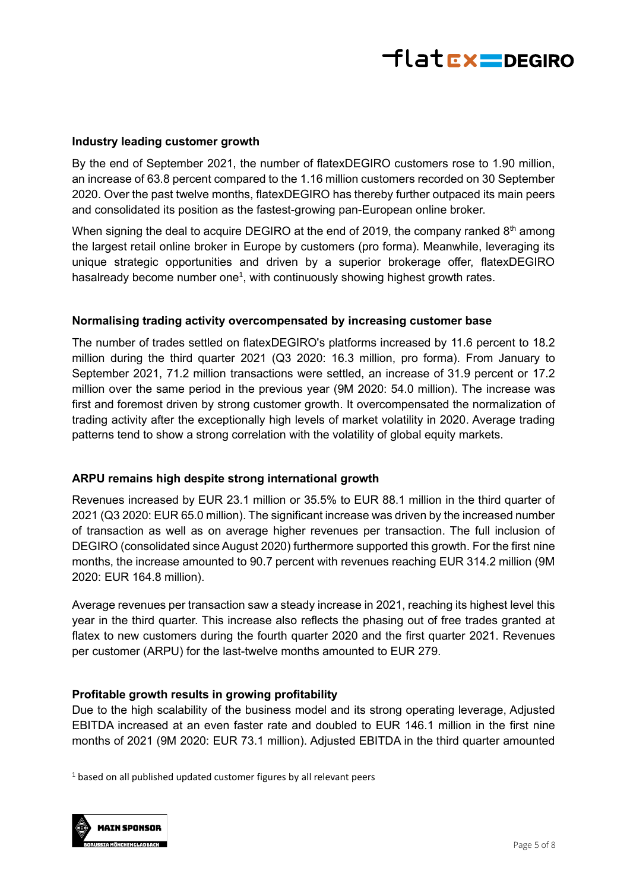

### **Industry leading customer growth**

By the end of September 2021, the number of flatexDEGIRO customers rose to 1.90 million, an increase of 63.8 percent compared to the 1.16 million customers recorded on 30 September 2020. Over the past twelve months, flatexDEGIRO has thereby further outpaced its main peers and consolidated its position as the fastest-growing pan-European online broker.

When signing the deal to acquire DEGIRO at the end of 2019, the company ranked  $8<sup>th</sup>$  among the largest retail online broker in Europe by customers (pro forma). Meanwhile, leveraging its unique strategic opportunities and driven by a superior brokerage offer, flatexDEGIRO hasalready become number one<sup>1</sup>, with continuously showing highest growth rates.

### **Normalising trading activity overcompensated by increasing customer base**

The number of trades settled on flatexDEGIRO's platforms increased by 11.6 percent to 18.2 million during the third quarter 2021 (Q3 2020: 16.3 million, pro forma). From January to September 2021, 71.2 million transactions were settled, an increase of 31.9 percent or 17.2 million over the same period in the previous year (9M 2020: 54.0 million). The increase was first and foremost driven by strong customer growth. It overcompensated the normalization of trading activity after the exceptionally high levels of market volatility in 2020. Average trading patterns tend to show a strong correlation with the volatility of global equity markets.

#### **ARPU remains high despite strong international growth**

Revenues increased by EUR 23.1 million or 35.5% to EUR 88.1 million in the third quarter of 2021 (Q3 2020: EUR 65.0 million). The significant increase was driven by the increased number of transaction as well as on average higher revenues per transaction. The full inclusion of DEGIRO (consolidated since August 2020) furthermore supported this growth. For the first nine months, the increase amounted to 90.7 percent with revenues reaching EUR 314.2 million (9M 2020: EUR 164.8 million).

Average revenues per transaction saw a steady increase in 2021, reaching its highest level this year in the third quarter. This increase also reflects the phasing out of free trades granted at flatex to new customers during the fourth quarter 2020 and the first quarter 2021. Revenues per customer (ARPU) for the last-twelve months amounted to EUR 279.

#### **Profitable growth results in growing profitability**

Due to the high scalability of the business model and its strong operating leverage, Adjusted EBITDA increased at an even faster rate and doubled to EUR 146.1 million in the first nine months of 2021 (9M 2020: EUR 73.1 million). Adjusted EBITDA in the third quarter amounted

<sup>1</sup> based on all published updated customer figures by all relevant peers

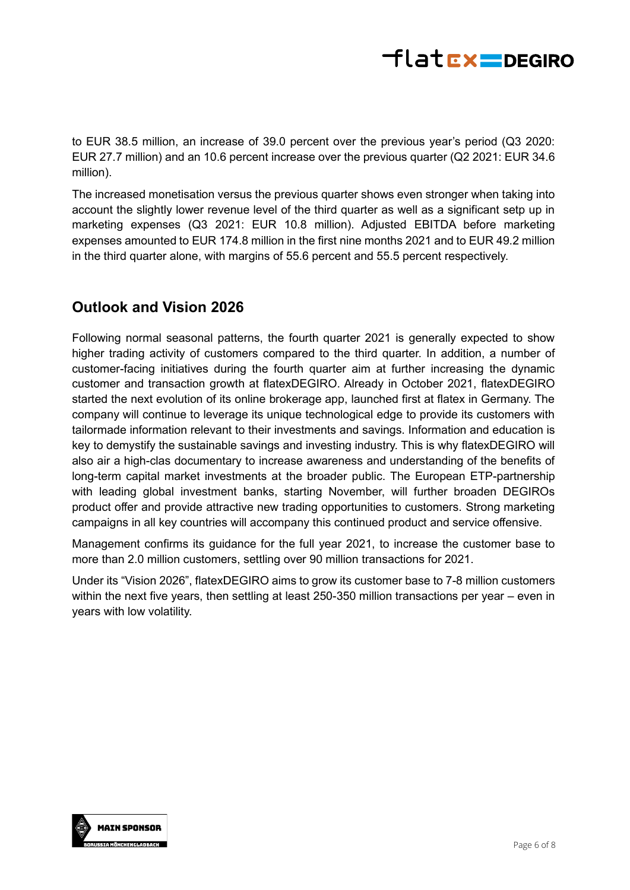

to EUR 38.5 million, an increase of 39.0 percent over the previous year's period (Q3 2020: EUR 27.7 million) and an 10.6 percent increase over the previous quarter (Q2 2021: EUR 34.6 million).

The increased monetisation versus the previous quarter shows even stronger when taking into account the slightly lower revenue level of the third quarter as well as a significant setp up in marketing expenses (Q3 2021: EUR 10.8 million). Adjusted EBITDA before marketing expenses amounted to EUR 174.8 million in the first nine months 2021 and to EUR 49.2 million in the third quarter alone, with margins of 55.6 percent and 55.5 percent respectively.

# **Outlook and Vision 2026**

Following normal seasonal patterns, the fourth quarter 2021 is generally expected to show higher trading activity of customers compared to the third quarter. In addition, a number of customer-facing initiatives during the fourth quarter aim at further increasing the dynamic customer and transaction growth at flatexDEGIRO. Already in October 2021, flatexDEGIRO started the next evolution of its online brokerage app, launched first at flatex in Germany. The company will continue to leverage its unique technological edge to provide its customers with tailormade information relevant to their investments and savings. Information and education is key to demystify the sustainable savings and investing industry. This is why flatexDEGIRO will also air a high-clas documentary to increase awareness and understanding of the benefits of long-term capital market investments at the broader public. The European ETP-partnership with leading global investment banks, starting November, will further broaden DEGIROs product offer and provide attractive new trading opportunities to customers. Strong marketing campaigns in all key countries will accompany this continued product and service offensive.

Management confirms its guidance for the full year 2021, to increase the customer base to more than 2.0 million customers, settling over 90 million transactions for 2021.

Under its "Vision 2026", flatexDEGIRO aims to grow its customer base to 7-8 million customers within the next five years, then settling at least 250-350 million transactions per year – even in years with low volatility.

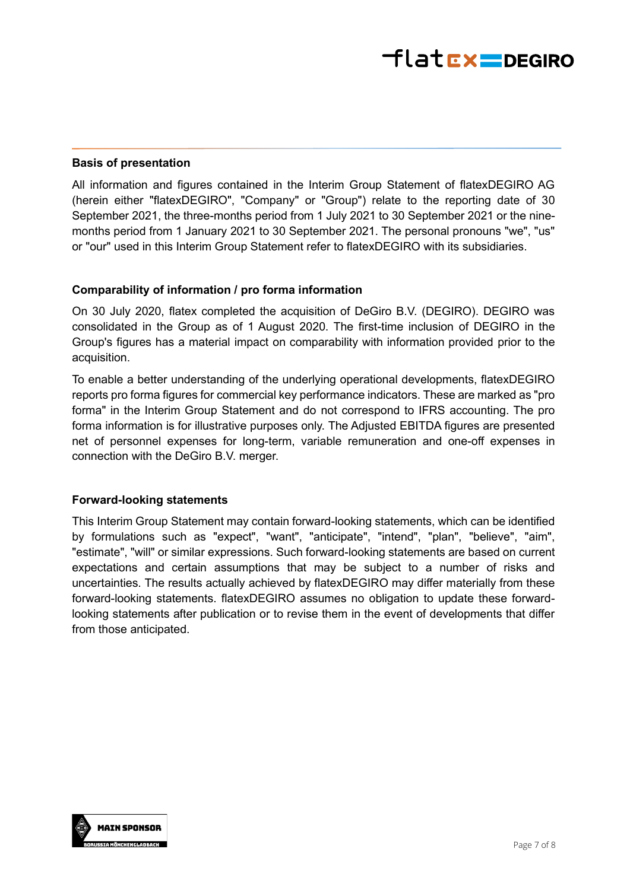### **Basis of presentation**

All information and figures contained in the Interim Group Statement of flatexDEGIRO AG (herein either "flatexDEGIRO", "Company" or "Group") relate to the reporting date of 30 September 2021, the three-months period from 1 July 2021 to 30 September 2021 or the ninemonths period from 1 January 2021 to 30 September 2021. The personal pronouns "we", "us" or "our" used in this Interim Group Statement refer to flatexDEGIRO with its subsidiaries.

### **Comparability of information / pro forma information**

On 30 July 2020, flatex completed the acquisition of DeGiro B.V. (DEGIRO). DEGIRO was consolidated in the Group as of 1 August 2020. The first-time inclusion of DEGIRO in the Group's figures has a material impact on comparability with information provided prior to the acquisition.

To enable a better understanding of the underlying operational developments, flatexDEGIRO reports pro forma figures for commercial key performance indicators. These are marked as "pro forma" in the Interim Group Statement and do not correspond to IFRS accounting. The pro forma information is for illustrative purposes only. The Adjusted EBITDA figures are presented net of personnel expenses for long-term, variable remuneration and one-off expenses in connection with the DeGiro B.V. merger.

#### **Forward-looking statements**

This Interim Group Statement may contain forward-looking statements, which can be identified by formulations such as "expect", "want", "anticipate", "intend", "plan", "believe", "aim", "estimate", "will" or similar expressions. Such forward-looking statements are based on current expectations and certain assumptions that may be subject to a number of risks and uncertainties. The results actually achieved by flatexDEGIRO may differ materially from these forward-looking statements. flatexDEGIRO assumes no obligation to update these forwardlooking statements after publication or to revise them in the event of developments that differ from those anticipated.